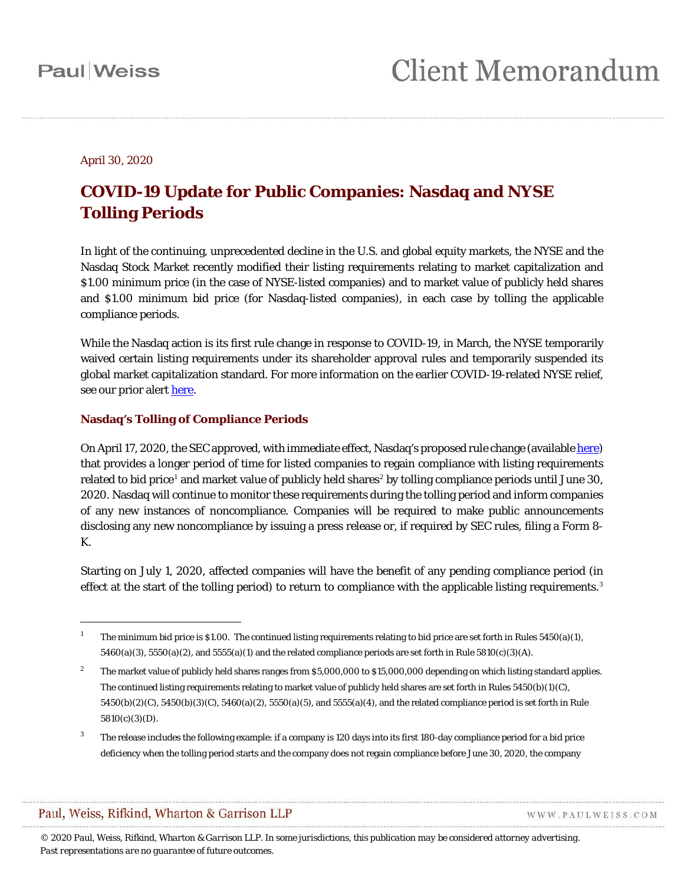#### April 30, 2020

### **COVID-19 Update for Public Companies: Nasdaq and NYSE Tolling Periods**

In light of the continuing, unprecedented decline in the U.S. and global equity markets, the NYSE and the Nasdaq Stock Market recently modified their listing requirements relating to market capitalization and \$1.00 minimum price (in the case of NYSE-listed companies) and to market value of publicly held shares and \$1.00 minimum bid price (for Nasdaq-listed companies), in each case by tolling the applicable compliance periods.

While the Nasdaq action is its first rule change in response to COVID-19, in March, the NYSE temporarily waived certain listing requirements under its shareholder approval rules and temporarily suspended its global market capitalization standard. For more information on the earlier COVID-19-related NYSE relief, see our prior alert [here.](https://www.paulweiss.com/media/3980008/20apr20-nyse-update.pdf)

#### **Nasdaq's Tolling of Compliance Periods**

On April 17, 2020, the SEC approved, with immediate effect, Nasdaq's proposed rule change (availabl[e here\)](https://www.sec.gov/rules/sro/nasdaq/2020/34-88685.pdf) that provides a longer period of time for listed companies to regain compliance with listing requirements related to bid price<sup>[1](#page-0-0)</sup> and market value of publicly held shares<sup>[2](#page-0-1)</sup> by tolling compliance periods until June 30, 2020. Nasdaq will continue to monitor these requirements during the tolling period and inform companies of any new instances of noncompliance. Companies will be required to make public announcements disclosing any new noncompliance by issuing a press release or, if required by SEC rules, filing a Form 8- K.

Starting on July 1, 2020, affected companies will have the benefit of any pending compliance period (in effect at the start of the tolling period) to return to compliance with the applicable listing requirements.<sup>[3](#page-0-2)</sup>

 $\overline{a}$ 

WWW.PAULWEISS.COM

<span id="page-0-0"></span>The minimum bid price is \$1.00. The continued listing requirements relating to bid price are set forth in Rules  $5450(a)(1)$ , 5460(a)(3), 5550(a)(2), and 5555(a)(1) and the related compliance periods are set forth in Rule 5810(c)(3)(A).

<span id="page-0-1"></span><sup>&</sup>lt;sup>2</sup> The market value of publicly held shares ranges from \$5,000,000 to \$15,000,000 depending on which listing standard applies. The continued listing requirements relating to market value of publicly held shares are set forth in Rules 5450(b)(1)(C), 5450(b)(2)(C), 5450(b)(3)(C), 5460(a)(2), 5550(a)(5), and 5555(a)(4), and the related compliance period is set forth in Rule 5810(c)(3)(D).

<span id="page-0-2"></span><sup>&</sup>lt;sup>3</sup> The release includes the following example: if a company is 120 days into its first 180-day compliance period for a bid price deficiency when the tolling period starts and the company does not regain compliance before June 30, 2020, the company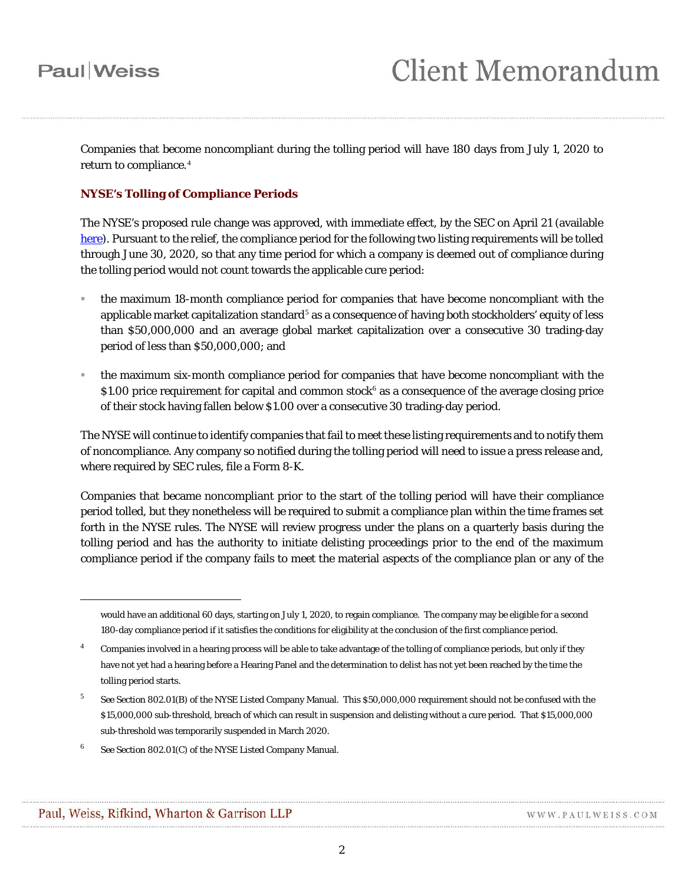Companies that become noncompliant during the tolling period will have 180 days from July 1, 2020 to return to compliance.<sup>[4](#page-1-0)</sup>

#### **NYSE's Tolling of Compliance Periods**

The NYSE's proposed rule change was approved, with immediate effect, by the SEC on April 21 (available [here\)](https://www.sec.gov/rules/sro/nyse/2020/34-88717.pdf). Pursuant to the relief, the compliance period for the following two listing requirements will be tolled through June 30, 2020, so that any time period for which a company is deemed out of compliance during the tolling period would not count towards the applicable cure period:

- the maximum 18-month compliance period for companies that have become noncompliant with the applicable market capitalization standard<sup>[5](#page-1-1)</sup> as a consequence of having both stockholders' equity of less than \$50,000,000 and an average global market capitalization over a consecutive 30 trading-day period of less than \$50,000,000; and
- the maximum six-month compliance period for companies that have become noncompliant with the \$1.00 price requirement for capital and common stock<sup>[6](#page-1-2)</sup> as a consequence of the average closing price of their stock having fallen below \$1.00 over a consecutive 30 trading-day period.

The NYSE will continue to identify companies that fail to meet these listing requirements and to notify them of noncompliance. Any company so notified during the tolling period will need to issue a press release and, where required by SEC rules, file a Form 8-K.

Companies that became noncompliant prior to the start of the tolling period will have their compliance period tolled, but they nonetheless will be required to submit a compliance plan within the time frames set forth in the NYSE rules. The NYSE will review progress under the plans on a quarterly basis during the tolling period and has the authority to initiate delisting proceedings prior to the end of the maximum compliance period if the company fails to meet the material aspects of the compliance plan or any of the

<span id="page-1-2"></span><sup>6</sup> *See* Section 802.01(C) of the NYSE Listed Company Manual.

1

would have an additional 60 days, starting on July 1, 2020, to regain compliance. The company may be eligible for a second 180-day compliance period if it satisfies the conditions for eligibility at the conclusion of the first compliance period.

<span id="page-1-0"></span><sup>&</sup>lt;sup>4</sup> Companies involved in a hearing process will be able to take advantage of the tolling of compliance periods, but only if they have not yet had a hearing before a Hearing Panel and the determination to delist has not yet been reached by the time the tolling period starts.

<span id="page-1-1"></span><sup>5</sup> *See* Section 802.01(B) of the NYSE Listed Company Manual. This \$50,000,000 requirement should not be confused with the \$15,000,000 sub-threshold, breach of which can result in suspension and delisting without a cure period. That \$15,000,000 sub-threshold was temporarily suspended in March 2020.